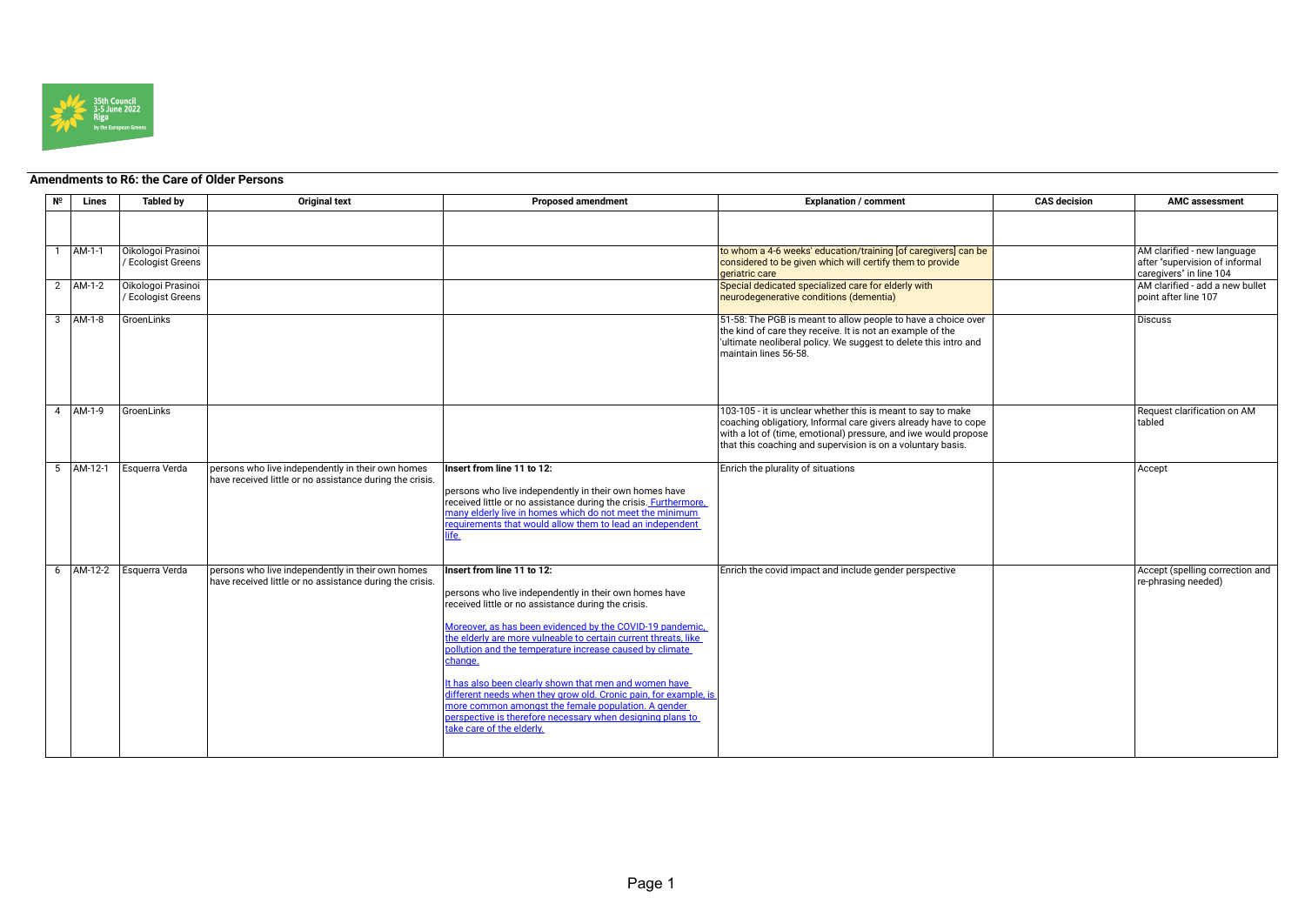

## **Amendments to R6: the Care of Older Persons**

| Nº | Lines         | <b>Tabled by</b>                              | <b>Original text</b>                                                                                          | <b>Proposed amendment</b>                                                                                                                                                                                                                                                                                                                                                                                                                                                                                                                                                                                                          | <b>Explanation / comment</b>                                                                                                                                                                                                                                      | <b>CAS</b> decision | <b>AMC assessment</b>                                                                    |
|----|---------------|-----------------------------------------------|---------------------------------------------------------------------------------------------------------------|------------------------------------------------------------------------------------------------------------------------------------------------------------------------------------------------------------------------------------------------------------------------------------------------------------------------------------------------------------------------------------------------------------------------------------------------------------------------------------------------------------------------------------------------------------------------------------------------------------------------------------|-------------------------------------------------------------------------------------------------------------------------------------------------------------------------------------------------------------------------------------------------------------------|---------------------|------------------------------------------------------------------------------------------|
|    |               |                                               |                                                                                                               |                                                                                                                                                                                                                                                                                                                                                                                                                                                                                                                                                                                                                                    |                                                                                                                                                                                                                                                                   |                     |                                                                                          |
|    | AM-1-1        | Oikologoi Prasinoi<br><b>Ecologist Greens</b> |                                                                                                               |                                                                                                                                                                                                                                                                                                                                                                                                                                                                                                                                                                                                                                    | to whom a 4-6 weeks' education/training [of caregivers] can be<br>considered to be given which will certify them to provide<br>geriatric care                                                                                                                     |                     | AM clarified - new language<br>after "supervision of informal<br>caregivers" in line 104 |
|    | 2 AM-1-2      | Oikologoi Prasinoi<br><b>Ecologist Greens</b> |                                                                                                               |                                                                                                                                                                                                                                                                                                                                                                                                                                                                                                                                                                                                                                    | Special dedicated specialized care for elderly with<br>neurodegenerative conditions (dementia)                                                                                                                                                                    |                     | AM clarified - add a new bullet<br>point after line 107                                  |
|    | $3$ $AM-1-8$  | <b>GroenLinks</b>                             |                                                                                                               |                                                                                                                                                                                                                                                                                                                                                                                                                                                                                                                                                                                                                                    | 51-58: The PGB is meant to allow people to have a choice over<br>the kind of care they receive. It is not an example of the<br>ultimate neoliberal policy. We suggest to delete this intro and<br>maintain lines 56-58.                                           |                     | <b>Discuss</b>                                                                           |
|    | 4 AM-1-9      | GroenLinks                                    |                                                                                                               |                                                                                                                                                                                                                                                                                                                                                                                                                                                                                                                                                                                                                                    | 103-105 - it is unclear whether this is meant to say to make<br>coaching obligatiory, Informal care givers already have to cope<br>with a lot of (time, emotional) pressure, and iwe would propose<br>that this coaching and supervision is on a voluntary basis. |                     | Request clarification on AM<br>tabled                                                    |
|    | $5$ $AM-12-1$ | Esquerra Verda                                | persons who live independently in their own homes<br>have received little or no assistance during the crisis. | Insert from line 11 to 12:<br>persons who live independently in their own homes have<br>received little or no assistance during the crisis. Furthermore,<br>many elderly live in homes which do not meet the minimum<br>requirements that would allow them to lead an independent<br>ife.                                                                                                                                                                                                                                                                                                                                          | Enrich the plurality of situations                                                                                                                                                                                                                                |                     | Accept                                                                                   |
|    | 6 AM-12-2     | Esquerra Verda                                | persons who live independently in their own homes<br>have received little or no assistance during the crisis. | Insert from line 11 to 12:<br>persons who live independently in their own homes have<br>received little or no assistance during the crisis.<br>Moreover, as has been evidenced by the COVID-19 pandemic,<br>the elderly are more vulneable to certain current threats, like<br>pollution and the temperature increase caused by climate<br>change.<br>It has also been clearly shown that men and women have<br>different needs when they grow old. Cronic pain, for example, is<br>more common amongst the female population. A gender<br>perspective is therefore necessary when designing plans to<br>take care of the elderly. | Enrich the covid impact and include gender perspective                                                                                                                                                                                                            |                     | Accept (spelling correction and<br>re-phrasing needed)                                   |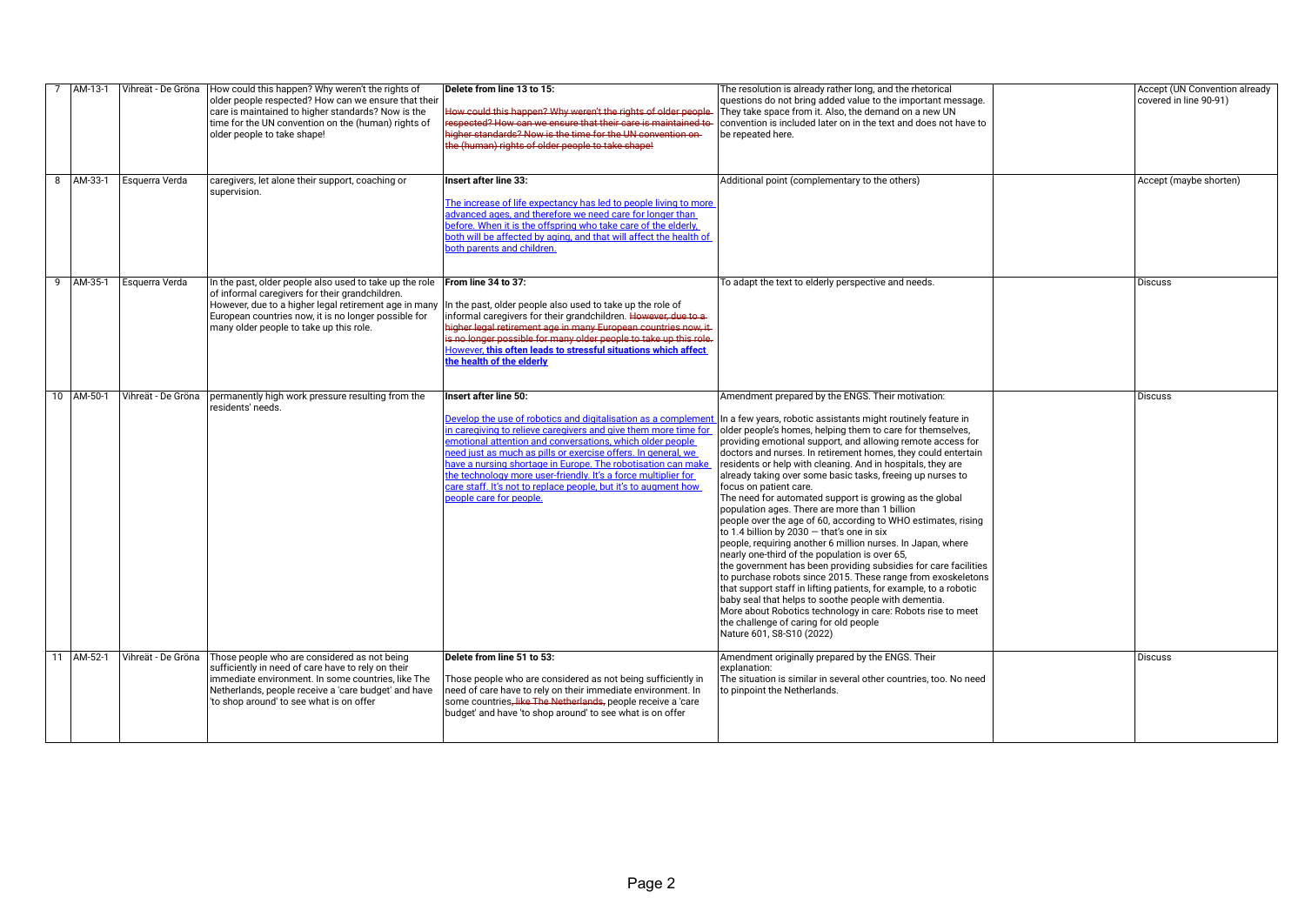| AM-13-1    | Vihreät - De Gröna | How could this happen? Why weren't the rights of<br>older people respected? How can we ensure that their<br>care is maintained to higher standards? Now is the<br>time for the UN convention on the (human) rights of<br>older people to take shape!                                                                | Delete from line 13 to 15:<br>How could this happen? Why weren't the rights of older people<br>respected? How can we ensure that their care is maintained to<br>higher standards? Now is the time for the UN convention on-<br>the (human) rights of older people to take shape!                                                                                                                                                                                                                                       | The resolution is already rather long, and the rhetorical<br>questions do not bring added value to the important message.<br>They take space from it. Also, the demand on a new UN<br>convention is included later on in the text and does not have to<br>be repeated here.                                                                                                                                                                                                                                                                                                                                                                                                                                                                                                                                                                                                                                                                                                                                                                                                                                                                                                                                                | <b>Accept (UN Convention already</b><br>covered in line 90-91) |
|------------|--------------------|---------------------------------------------------------------------------------------------------------------------------------------------------------------------------------------------------------------------------------------------------------------------------------------------------------------------|------------------------------------------------------------------------------------------------------------------------------------------------------------------------------------------------------------------------------------------------------------------------------------------------------------------------------------------------------------------------------------------------------------------------------------------------------------------------------------------------------------------------|----------------------------------------------------------------------------------------------------------------------------------------------------------------------------------------------------------------------------------------------------------------------------------------------------------------------------------------------------------------------------------------------------------------------------------------------------------------------------------------------------------------------------------------------------------------------------------------------------------------------------------------------------------------------------------------------------------------------------------------------------------------------------------------------------------------------------------------------------------------------------------------------------------------------------------------------------------------------------------------------------------------------------------------------------------------------------------------------------------------------------------------------------------------------------------------------------------------------------|----------------------------------------------------------------|
| 8 AM-33-1  | Esquerra Verda     | caregivers, let alone their support, coaching or<br>supervision.                                                                                                                                                                                                                                                    | Insert after line 33:<br>The increase of life expectancy has led to people living to more<br>advanced ages, and therefore we need care for longer than<br>before. When it is the offspring who take care of the elderly,<br>both will be affected by aging, and that will affect the health of<br>both parents and children.                                                                                                                                                                                           | Additional point (complementary to the others)                                                                                                                                                                                                                                                                                                                                                                                                                                                                                                                                                                                                                                                                                                                                                                                                                                                                                                                                                                                                                                                                                                                                                                             | Accept (maybe shorten)                                         |
| 9 AM-35-1  | Esquerra Verda     | In the past, older people also used to take up the role $\overline{\phantom{a}}$ From line 34 to 37:<br>of informal caregivers for their grandchildren.<br>However, due to a higher legal retirement age in many<br>European countries now, it is no longer possible for<br>many older people to take up this role. | In the past, older people also used to take up the role of<br>informal caregivers for their grandchildren. However, due to a-<br>higher legal retirement age in many European countries now, it-<br>is no longer possible for many older people to take up this role.<br>However, this often leads to stressful situations which affect<br>the health of the elderly                                                                                                                                                   | To adapt the text to elderly perspective and needs.                                                                                                                                                                                                                                                                                                                                                                                                                                                                                                                                                                                                                                                                                                                                                                                                                                                                                                                                                                                                                                                                                                                                                                        | Discuss                                                        |
| 10 AM-50-1 | Vihreät - De Gröna | permanently high work pressure resulting from the<br>residents' needs.                                                                                                                                                                                                                                              | Insert after line 50:<br>Develop the use of robotics and digitalisation as a compleme<br>in caregiving to relieve caregivers and give them more time for<br>emotional attention and conversations, which older people<br>need just as much as pills or exercise offers. In general, we<br>have a nursing shortage in Europe. The robotisation can make<br>the technology more user-friendly. It's a force multiplier for<br>care staff. It's not to replace people, but it's to augment how<br>people care for people. | Amendment prepared by the ENGS. Their motivation:<br>In a few years, robotic assistants might routinely feature in<br>older people's homes, helping them to care for themselves,<br>providing emotional support, and allowing remote access for<br>doctors and nurses. In retirement homes, they could entertain<br>residents or help with cleaning. And in hospitals, they are<br>already taking over some basic tasks, freeing up nurses to<br>focus on patient care.<br>The need for automated support is growing as the global<br>population ages. There are more than 1 billion<br>people over the age of 60, according to WHO estimates, rising<br>to 1.4 billion by 2030 - that's one in six<br>people, requiring another 6 million nurses. In Japan, where<br>nearly one-third of the population is over 65,<br>the government has been providing subsidies for care facilities<br>to purchase robots since 2015. These range from exoskeletons<br>that support staff in lifting patients, for example, to a robotic<br>baby seal that helps to soothe people with dementia.<br>More about Robotics technology in care: Robots rise to meet<br>the challenge of caring for old people<br>Nature 601, S8-S10 (2022) | Discuss                                                        |
| 11 AM-52-1 | Vihreät - De Gröna | Those people who are considered as not being<br>sufficiently in need of care have to rely on their<br>immediate environment. In some countries, like The<br>Netherlands, people receive a 'care budget' and have<br>'to shop around' to see what is on offer                                                        | Delete from line 51 to 53:<br>Those people who are considered as not being sufficiently in<br>heed of care have to rely on their immediate environment. In<br>some countries <del>, like The Netherlands,</del> people receive a 'care<br>budget' and have 'to shop around' to see what is on offer                                                                                                                                                                                                                    | Amendment originally prepared by the ENGS. Their<br>explanation:<br>The situation is similar in several other countries, too. No need<br>to pinpoint the Netherlands.                                                                                                                                                                                                                                                                                                                                                                                                                                                                                                                                                                                                                                                                                                                                                                                                                                                                                                                                                                                                                                                      | Discuss                                                        |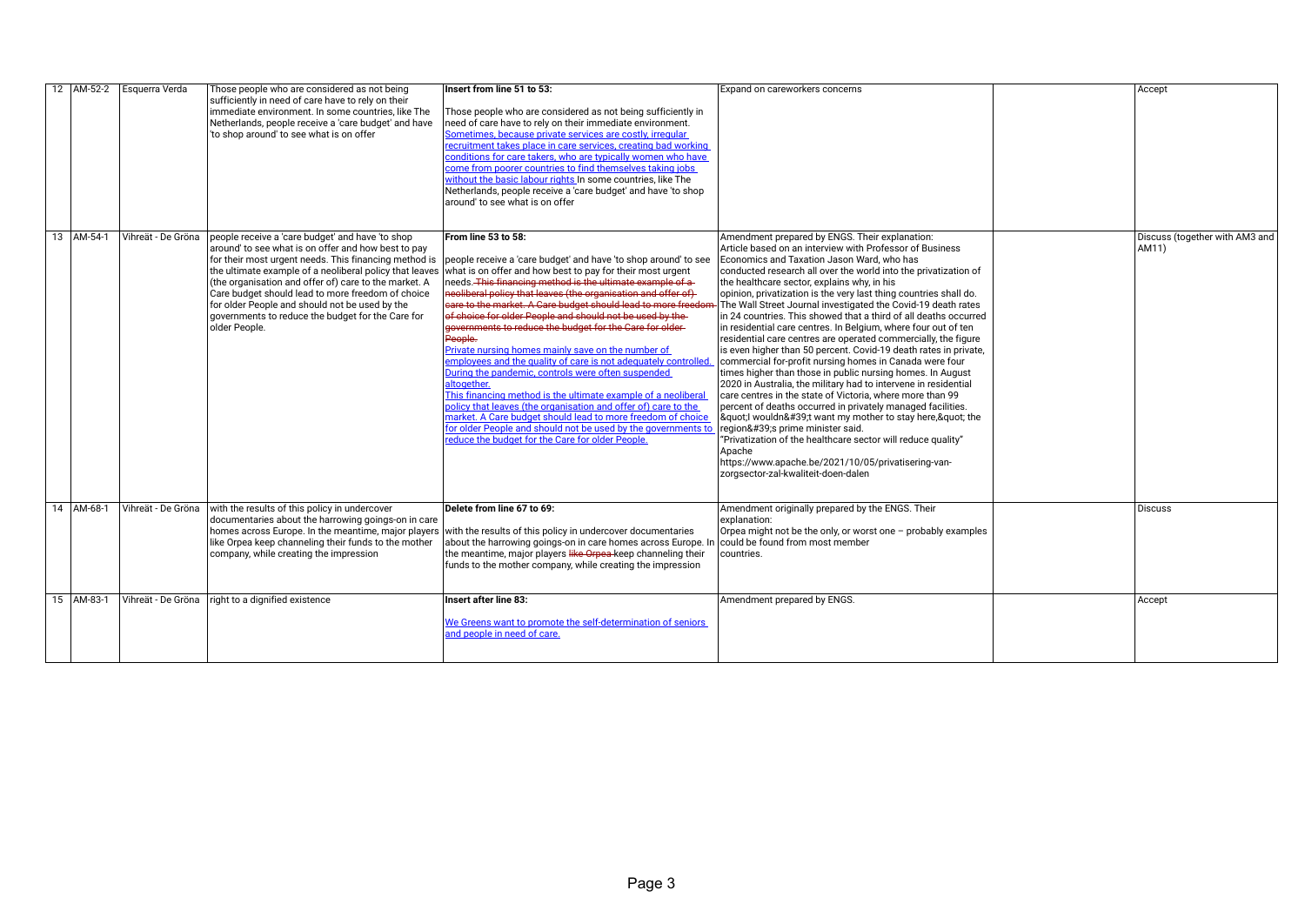|            | 12   AM-52-2   Esquerra Verda | Those people who are considered as not being<br>sufficiently in need of care have to rely on their<br>immediate environment. In some countries, like The<br>Netherlands, people receive a 'care budget' and have<br>'to shop around' to see what is on offer                                                                                                                                                                                                      | Insert from line 51 to 53:<br>Those people who are considered as not being sufficiently in<br>need of care have to rely on their immediate environment.<br>Sometimes, because private services are costly, irregular<br>recruitment takes place in care services, creating bad working<br>conditions for care takers, who are typically women who have<br>come from poorer countries to find themselves taking jobs<br>without the basic labour rights In some countries, like The<br>Netherlands, people receive a 'care budget' and have 'to shop<br>around' to see what is on offer                                                                                                                                                                                                                                                                                                                                                                                                                     | Expand on careworkers concerns                                                                                                                                                                                                                                                                                                                                                                                                                                                                                                                                                                                                                                                                                                                                                                                                                                                                                                                                                                                                                                                                                                                                                                                                                                                             | Accept                                  |
|------------|-------------------------------|-------------------------------------------------------------------------------------------------------------------------------------------------------------------------------------------------------------------------------------------------------------------------------------------------------------------------------------------------------------------------------------------------------------------------------------------------------------------|------------------------------------------------------------------------------------------------------------------------------------------------------------------------------------------------------------------------------------------------------------------------------------------------------------------------------------------------------------------------------------------------------------------------------------------------------------------------------------------------------------------------------------------------------------------------------------------------------------------------------------------------------------------------------------------------------------------------------------------------------------------------------------------------------------------------------------------------------------------------------------------------------------------------------------------------------------------------------------------------------------|--------------------------------------------------------------------------------------------------------------------------------------------------------------------------------------------------------------------------------------------------------------------------------------------------------------------------------------------------------------------------------------------------------------------------------------------------------------------------------------------------------------------------------------------------------------------------------------------------------------------------------------------------------------------------------------------------------------------------------------------------------------------------------------------------------------------------------------------------------------------------------------------------------------------------------------------------------------------------------------------------------------------------------------------------------------------------------------------------------------------------------------------------------------------------------------------------------------------------------------------------------------------------------------------|-----------------------------------------|
| 13 AM-54-1 | Vihreät - De Gröna            | people receive a 'care budget' and have 'to shop<br>around' to see what is on offer and how best to pay<br>for their most urgent needs. This financing method is<br>the ultimate example of a neoliberal policy that leaves<br>(the organisation and offer of) care to the market. A<br>Care budget should lead to more freedom of choice<br>for older People and should not be used by the<br>governments to reduce the budget for the Care for<br>older People. | From line 53 to 58:<br>people receive a 'care budget' and have 'to shop around' to see<br>what is on offer and how best to pay for their most urgent<br>needs. This financing method is the ultimate example of a<br>neoliberal policy that leaves (the organisation and offer of)<br>care to the market. A Care budget should lead to more freedom<br>of choice for older People and should not be used by the<br>governments to reduce the budget for the Care for older-<br>People.<br>Private nursing homes mainly save on the number of<br>employees and the quality of care is not adequately controlled<br>During the pandemic, controls were often suspended<br>altogether.<br>This financing method is the ultimate example of a neoliberal<br>policy that leaves (the organisation and offer of) care to the<br>market. A Care budget should lead to more freedom of choice<br>for older People and should not be used by the governments to<br>reduce the budget for the Care for older People. | Amendment prepared by ENGS. Their explanation:<br>Article based on an interview with Professor of Business<br>Economics and Taxation Jason Ward, who has<br>conducted research all over the world into the privatization of<br>the healthcare sector, explains why, in his<br>opinion, privatization is the very last thing countries shall do.<br>FThe Wall Street Journal investigated the Covid-19 death rates<br>lin 24 countries. This showed that a third of all deaths occurred<br>in residential care centres. In Belgium, where four out of ten<br>residential care centres are operated commercially, the figure<br>is even higher than 50 percent. Covid-19 death rates in private,<br>commercial for-profit nursing homes in Canada were four<br>times higher than those in public nursing homes. In August<br>2020 in Australia, the military had to intervene in residential<br>$\vert$ care centres in the state of Victoria. where more than 99<br>percent of deaths occurred in privately managed facilities.<br> "  wouldn't want my mother to stay here, " the<br>region's prime minister said.<br>"Privatization of the healthcare sector will reduce quality"<br>Apache<br>https://www.apache.be/2021/10/05/privatisering-van-<br>zorgsector-zal-kwaliteit-doen-dalen | Discuss (together with AM3 and<br>AM11) |
| 14 AM-68-1 | Vihreät - De Gröna            | with the results of this policy in undercover<br>documentaries about the harrowing goings-on in care<br>homes across Europe. In the meantime, major players<br>like Orpea keep channeling their funds to the mother<br>company, while creating the impression                                                                                                                                                                                                     | Delete from line 67 to 69:<br>with the results of this policy in undercover documentaries<br>about the harrowing goings-on in care homes across Europe. I<br>the meantime, major players like Orpea-keep channeling their<br>funds to the mother company, while creating the impression                                                                                                                                                                                                                                                                                                                                                                                                                                                                                                                                                                                                                                                                                                                    | Amendment originally prepared by the ENGS. Their<br>explanation:<br>Orpea might not be the only, or worst one - probably examples<br>could be found from most member<br>countries.                                                                                                                                                                                                                                                                                                                                                                                                                                                                                                                                                                                                                                                                                                                                                                                                                                                                                                                                                                                                                                                                                                         | <b>Discuss</b>                          |
| 15 AM-83-1 | Vihreät - De Gröna            | right to a dignified existence                                                                                                                                                                                                                                                                                                                                                                                                                                    | Insert after line 83:<br>We Greens want to promote the self-determination of seniors<br>and people in need of care.                                                                                                                                                                                                                                                                                                                                                                                                                                                                                                                                                                                                                                                                                                                                                                                                                                                                                        | Amendment prepared by ENGS.                                                                                                                                                                                                                                                                                                                                                                                                                                                                                                                                                                                                                                                                                                                                                                                                                                                                                                                                                                                                                                                                                                                                                                                                                                                                | Accept                                  |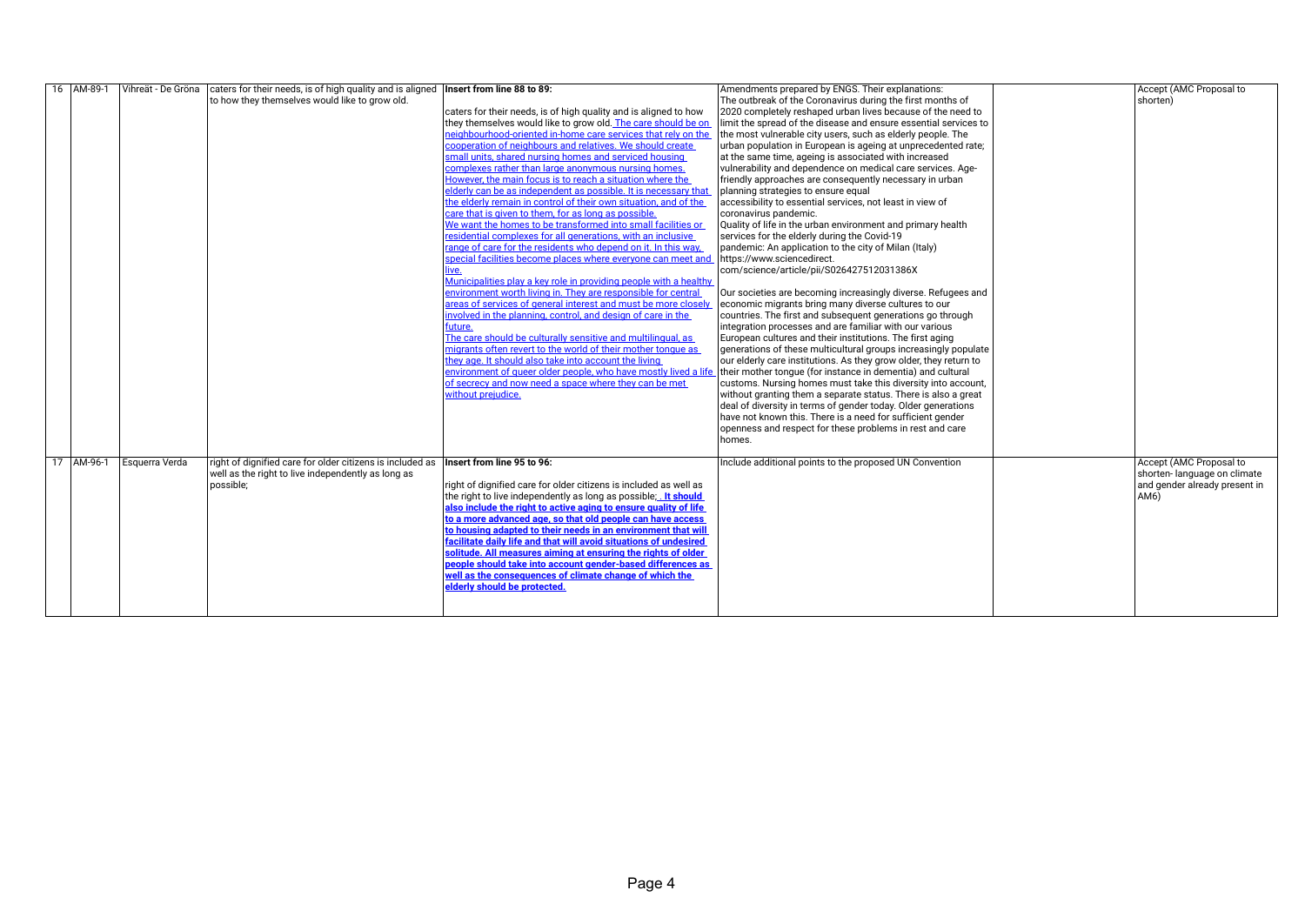| 16 AM-89-1 |                | Vihreät - De Gröna caters for their needs, is of high quality and is aligned <b>Insert from line 88 to 89:</b> |                                                                                                                             | Amendments prepared by ENGS. Their explanations:                  | Accept (AMC Proposal to       |
|------------|----------------|----------------------------------------------------------------------------------------------------------------|-----------------------------------------------------------------------------------------------------------------------------|-------------------------------------------------------------------|-------------------------------|
|            |                | to how they themselves would like to grow old.                                                                 |                                                                                                                             | The outbreak of the Coronavirus during the first months of        | shorten)                      |
|            |                |                                                                                                                | caters for their needs, is of high quality and is aligned to how                                                            | 2020 completely reshaped urban lives because of the need to       |                               |
|            |                |                                                                                                                | they themselves would like to grow old. The care should be on                                                               | limit the spread of the disease and ensure essential services to  |                               |
|            |                |                                                                                                                | neighbourhood-oriented in-home care services that rely on the                                                               | the most vulnerable city users, such as elderly people. The       |                               |
|            |                |                                                                                                                | cooperation of neighbours and relatives. We should create                                                                   | urban population in European is ageing at unprecedented rate;     |                               |
|            |                |                                                                                                                | small units, shared nursing homes and serviced housing                                                                      | at the same time, ageing is associated with increased             |                               |
|            |                |                                                                                                                | complexes rather than large anonymous nursing homes.                                                                        | vulnerability and dependence on medical care services. Age-       |                               |
|            |                |                                                                                                                | However, the main focus is to reach a situation where the                                                                   | friendly approaches are consequently necessary in urban           |                               |
|            |                |                                                                                                                | elderly can be as independent as possible. It is necessary that                                                             | planning strategies to ensure equal                               |                               |
|            |                |                                                                                                                | the elderly remain in control of their own situation, and of the                                                            | accessibility to essential services, not least in view of         |                               |
|            |                |                                                                                                                | care that is given to them, for as long as possible.                                                                        | coronavirus pandemic.                                             |                               |
|            |                |                                                                                                                | We want the homes to be transformed into small facilities or                                                                | Quality of life in the urban environment and primary health       |                               |
|            |                |                                                                                                                | residential complexes for all generations, with an inclusive                                                                | services for the elderly during the Covid-19                      |                               |
|            |                |                                                                                                                | range of care for the residents who depend on it. In this way,                                                              | pandemic: An application to the city of Milan (Italy)             |                               |
|            |                |                                                                                                                | special facilities become places where everyone can meet and https://www.sciencedirect.                                     |                                                                   |                               |
|            |                |                                                                                                                | ive.                                                                                                                        | com/science/article/pii/S026427512031386X                         |                               |
|            |                |                                                                                                                | Municipalities play a key role in providing people with a healthy                                                           |                                                                   |                               |
|            |                |                                                                                                                | environment worth living in. They are responsible for central                                                               | Our societies are becoming increasingly diverse. Refugees and     |                               |
|            |                |                                                                                                                | areas of services of general interest and must be more close                                                                | economic migrants bring many diverse cultures to our              |                               |
|            |                |                                                                                                                | involved in the planning, control, and design of care in the                                                                | countries. The first and subsequent generations go through        |                               |
|            |                |                                                                                                                | future.                                                                                                                     | integration processes and are familiar with our various           |                               |
|            |                |                                                                                                                | The care should be culturally sensitive and multilingual, as                                                                | European cultures and their institutions. The first aging         |                               |
|            |                |                                                                                                                | migrants often revert to the world of their mother tonque as                                                                | generations of these multicultural groups increasingly populate   |                               |
|            |                |                                                                                                                | they age. It should also take into account the living                                                                       | our elderly care institutions. As they grow older, they return to |                               |
|            |                |                                                                                                                | environment of queer older people, who have mostly lived a life their mother tonque (for instance in dementia) and cultural |                                                                   |                               |
|            |                |                                                                                                                | of secrecy and now need a space where they can be met                                                                       | customs. Nursing homes must take this diversity into account,     |                               |
|            |                |                                                                                                                | without prejudice.                                                                                                          | without granting them a separate status. There is also a great    |                               |
|            |                |                                                                                                                |                                                                                                                             | deal of diversity in terms of gender today. Older generations     |                               |
|            |                |                                                                                                                |                                                                                                                             | have not known this. There is a need for sufficient gender        |                               |
|            |                |                                                                                                                |                                                                                                                             | openness and respect for these problems in rest and care          |                               |
|            |                |                                                                                                                |                                                                                                                             | homes.                                                            |                               |
|            |                |                                                                                                                |                                                                                                                             |                                                                   |                               |
| 17 AM-96-1 | Esquerra Verda | right of dignified care for older citizens is included as                                                      | Insert from line 95 to 96:                                                                                                  | Include additional points to the proposed UN Convention           | Accept (AMC Proposal to       |
|            |                | well as the right to live independently as long as                                                             |                                                                                                                             |                                                                   | shorten-language on climate   |
|            |                | possible;                                                                                                      | right of dignified care for older citizens is included as well as                                                           |                                                                   | and gender already present in |
|            |                |                                                                                                                | the right to live independently as long as possible; It should                                                              |                                                                   | AM6)                          |
|            |                |                                                                                                                | also include the right to active aging to ensure quality of life                                                            |                                                                   |                               |
|            |                |                                                                                                                | to a more advanced age, so that old people can have access                                                                  |                                                                   |                               |
|            |                |                                                                                                                | to housing adapted to their needs in an environment that will                                                               |                                                                   |                               |
|            |                |                                                                                                                | facilitate daily life and that will avoid situations of undesired                                                           |                                                                   |                               |
|            |                |                                                                                                                | solitude. All measures aiming at ensuring the rights of older                                                               |                                                                   |                               |
|            |                |                                                                                                                | people should take into account gender-based differences as                                                                 |                                                                   |                               |
|            |                |                                                                                                                | well as the consequences of climate change of which the                                                                     |                                                                   |                               |
|            |                |                                                                                                                | elderly should be protected.                                                                                                |                                                                   |                               |
|            |                |                                                                                                                |                                                                                                                             |                                                                   |                               |
|            |                |                                                                                                                |                                                                                                                             |                                                                   |                               |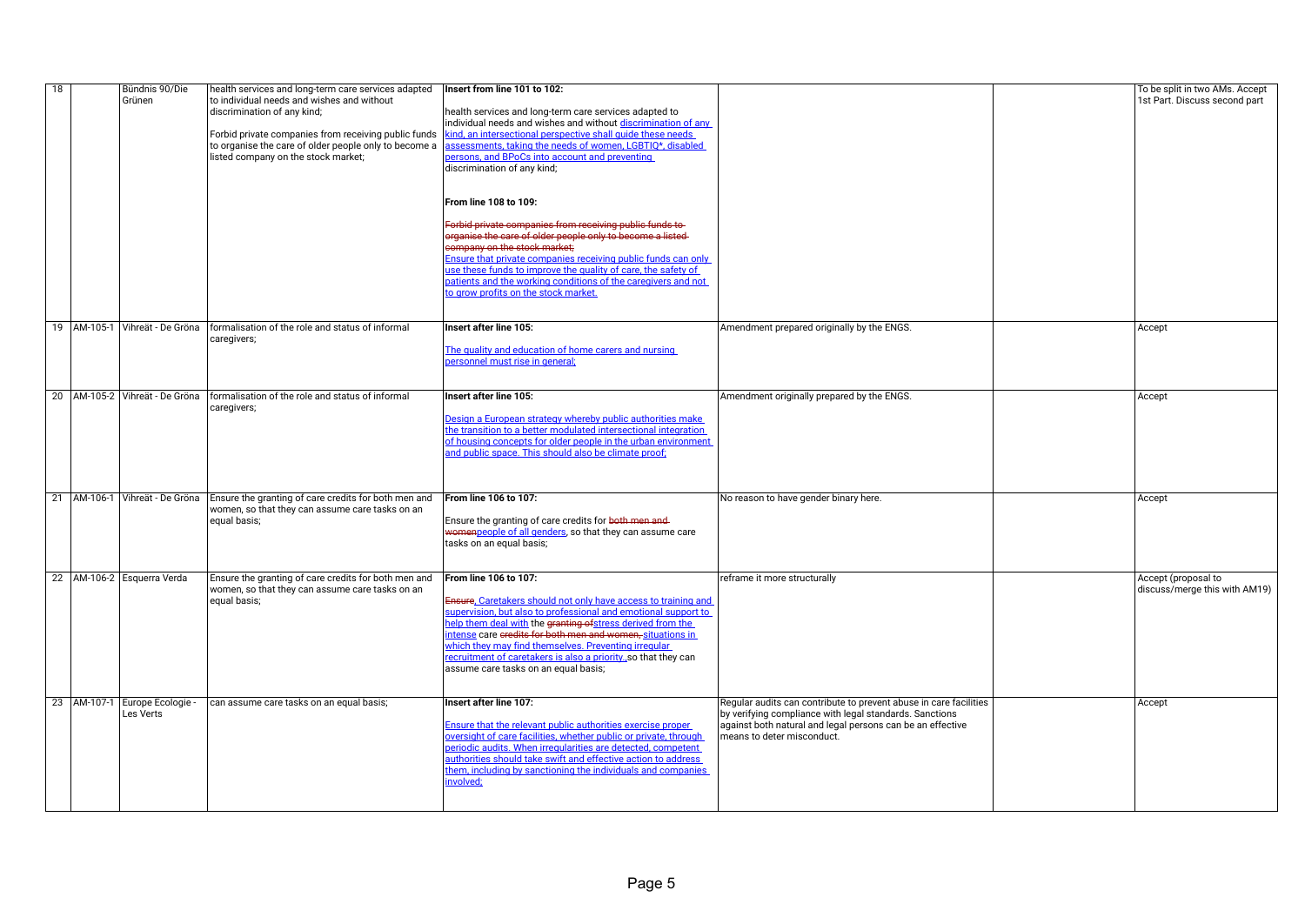| 18 | Bündnis 90/Die<br>Grünen                       | health services and long-term care services adapted<br>to individual needs and wishes and without<br>discrimination of any kind;<br>Forbid private companies from receiving public funds<br>to organise the care of older people only to become a<br>listed company on the stock market; | Insert from line 101 to 102:<br>health services and long-term care services adapted to<br>individual needs and wishes and without discrimination of any<br>kind, an intersectional perspective shall guide these needs<br>assessments, taking the needs of women, LGBTIQ*, disabled<br>persons, and BPoCs into account and preventing<br>discrimination of any kind;<br>From line 108 to 109:<br>Forbid private companies from receiving public funds to-<br>organise the care of older people only to become a listed-<br>company on the stock market;<br>Ensure that private companies receiving public funds can only use these funds to improve the quality of care, the safety of<br>patients and the working conditions of the caregivers and not<br>to grow profits on the stock market. |                                                                                                                                                                                                                          | To be split in two AMs. Accept<br>1st Part. Discuss second part |
|----|------------------------------------------------|------------------------------------------------------------------------------------------------------------------------------------------------------------------------------------------------------------------------------------------------------------------------------------------|-------------------------------------------------------------------------------------------------------------------------------------------------------------------------------------------------------------------------------------------------------------------------------------------------------------------------------------------------------------------------------------------------------------------------------------------------------------------------------------------------------------------------------------------------------------------------------------------------------------------------------------------------------------------------------------------------------------------------------------------------------------------------------------------------|--------------------------------------------------------------------------------------------------------------------------------------------------------------------------------------------------------------------------|-----------------------------------------------------------------|
|    |                                                | 19   AM-105-1   Vihreät - De Gröna   formalisation of the role and status of informal<br>caregivers;                                                                                                                                                                                     | Insert after line 105:<br>The quality and education of home carers and nursing<br>personnel must rise in general;                                                                                                                                                                                                                                                                                                                                                                                                                                                                                                                                                                                                                                                                               | Amendment prepared originally by the ENGS.                                                                                                                                                                               | Accept                                                          |
|    |                                                | 20   AM-105-2   Vihreät - De Gröna   formalisation of the role and status of informal<br>caregivers;                                                                                                                                                                                     | Insert after line 105:<br>Design a European strategy whereby public authorities make<br>the transition to a better modulated intersectional integration<br>of housing concepts for older people in the urban environment<br>and public space. This should also be climate proof:                                                                                                                                                                                                                                                                                                                                                                                                                                                                                                                | Amendment originally prepared by the ENGS.                                                                                                                                                                               | Accept                                                          |
|    |                                                | 21   AM-106-1   Vihreät - De Gröna   Ensure the granting of care credits for both men and<br>women, so that they can assume care tasks on an<br>equal basis;                                                                                                                             | From line 106 to 107:<br>Ensure the granting of care credits for both men and-<br>womenpeople of all genders, so that they can assume care<br>tasks on an equal basis;                                                                                                                                                                                                                                                                                                                                                                                                                                                                                                                                                                                                                          | No reason to have gender binary here.                                                                                                                                                                                    | Accept                                                          |
|    | 22 AM-106-2 Esquerra Verda                     | Ensure the granting of care credits for both men and<br>women, so that they can assume care tasks on an<br>equal basis;                                                                                                                                                                  | From line 106 to 107:<br>Ensure, Caretakers should not only have access to training and<br>supervision, but also to professional and emotional support to<br>help them deal with the granting of stress derived from the<br>intense care eredits for both men and women, situations in<br>which they may find themselves. Preventing irregular<br>recruitment of caretakers is also a priority., so that they can<br>assume care tasks on an equal basis;                                                                                                                                                                                                                                                                                                                                       | reframe it more structurally                                                                                                                                                                                             | Accept (proposal to<br>discuss/merge this with AM19)            |
|    | 23   AM-107-1   Europe Ecologie -<br>Les Verts | can assume care tasks on an equal basis;                                                                                                                                                                                                                                                 | Insert after line 107:<br>Ensure that the relevant public authorities exercise proper<br>oversight of care facilities, whether public or private, through<br>periodic audits. When irregularities are detected, competent<br>authorities should take swift and effective action to address<br>them, including by sanctioning the individuals and companies<br>involved;                                                                                                                                                                                                                                                                                                                                                                                                                         | Regular audits can contribute to prevent abuse in care facilities<br>by verifying compliance with legal standards. Sanctions<br>against both natural and legal persons can be an effective<br>means to deter misconduct. | Accept                                                          |